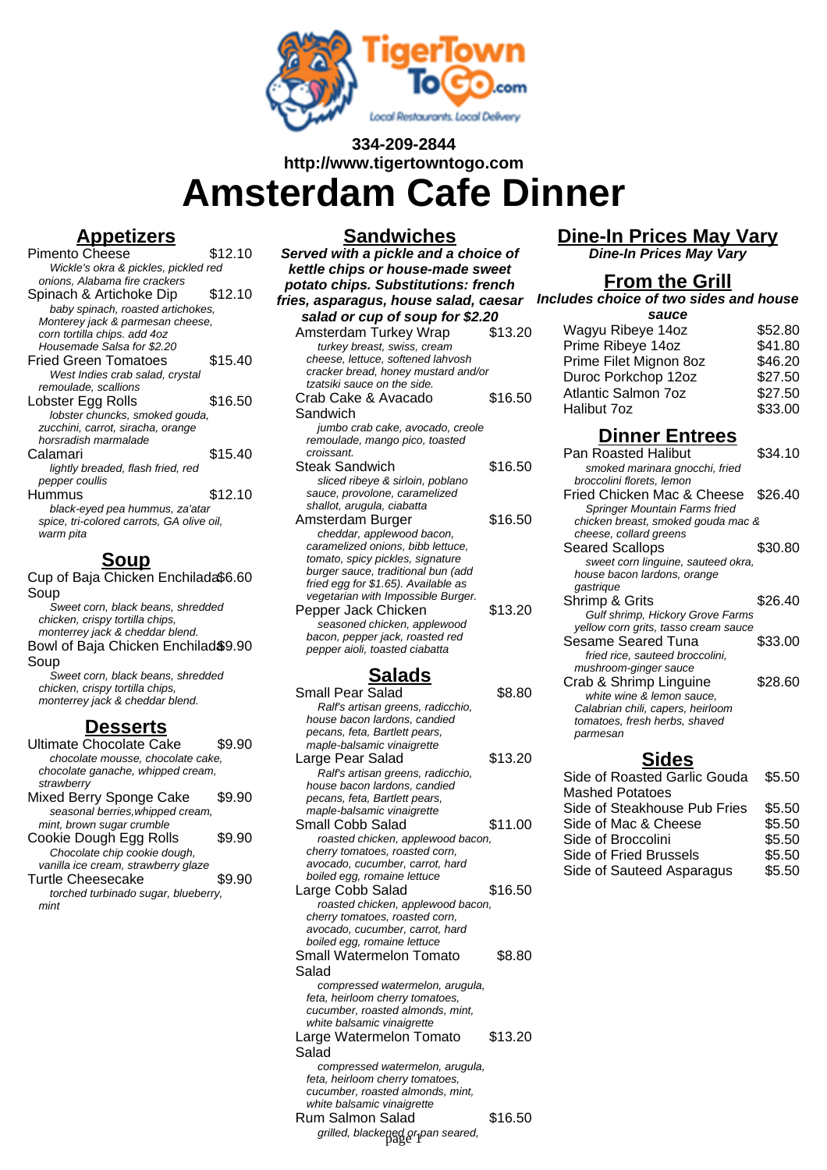

# **334-209-2844 http://www.tigertowntogo.com Amsterdam Cafe Dinner**

### **Appetizers**

| <b>Pimento Cheese</b>                     | \$12.10 |
|-------------------------------------------|---------|
| Wickle's okra & pickles, pickled red      |         |
| onions, Alabama fire crackers             |         |
| Spinach & Artichoke Dip                   | \$12.10 |
| baby spinach, roasted artichokes,         |         |
| Monterey jack & parmesan cheese,          |         |
| corn tortilla chips. add 4oz              |         |
| Housemade Salsa for \$2.20                |         |
| Fried Green Tomatoes                      | \$15.40 |
| West Indies crab salad, crystal           |         |
| remoulade, scallions                      |         |
| Lobster Egg Rolls                         | \$16.50 |
| lobster chuncks, smoked gouda,            |         |
| zucchini, carrot, siracha, orange         |         |
| horsradish marmalade                      |         |
| Calamari                                  | \$15.40 |
| lightly breaded, flash fried, red         |         |
| pepper coullis                            |         |
| Hummus                                    | \$12.10 |
| black-eyed pea hummus, za'atar            |         |
| spice, tri-colored carrots, GA olive oil, |         |
| warm pita                                 |         |
|                                           |         |

Cup of Baja Chicken Enchilada \$6.60 Soup Sweet corn, black beans, shredded chicken, crispy tortilla chips, monterrey jack & cheddar blend. Bowl of Baja Chicken Enchilad \$9.90 Soup

Sweet corn, black beans, shredded chicken, crispy tortilla chips, monterrey jack & cheddar blend.

#### **Desserts**

| Ultimate Chocolate Cake             |        |
|-------------------------------------|--------|
| chocolate mousse, chocolate cake,   |        |
| chocolate ganache, whipped cream,   |        |
| strawberry                          |        |
| Mixed Berry Sponge Cake             | \$9.90 |
| seasonal berries, whipped cream,    |        |
| mint, brown sugar crumble           |        |
| Cookie Dough Egg Rolls              | \$9.90 |
| Chocolate chip cookie dough,        |        |
| vanilla ice cream, strawberry glaze |        |
| <b>Turtle Cheesecake</b>            | \$9.90 |
| torched turbinado sugar, blueberry, |        |
| mint                                |        |
|                                     |        |
|                                     |        |

#### **Sandwiches Served with a pickle and a choice of kettle chips or house-made sweet potato chips. Substitutions: french fries, asparagus, house salad, caesar Includes choice of two sides and house salad or cup of soup for \$2.20** Amsterdam Turkey Wrap \$13.20 turkey breast, swiss, cream cheese, lettuce, softened lahvosh cracker bread, honey mustard and/or tzatsiki sauce on the side. Crab Cake & Avacado Sandwich \$16.50 jumbo crab cake, avocado, creole remoulade, mango pico, toasted croissant. Steak Sandwich \$16.50 sliced ribeye & sirloin, poblano sauce, provolone, caramelized shallot, arugula, ciabatta Amsterdam Burger \$16.50 cheddar, applewood bacon, caramelized onions, bibb lettuce, tomato, spicy pickles, signature burger sauce, traditional bun (add fried egg for \$1.65). Available as vegetarian with Impossible Burger. Pepper Jack Chicken \$13.20 seasoned chicken, applewood bacon, pepper jack, roasted red pepper aioli, toasted ciabatta **Salads** Small Pear Salad \$8.80 Ralf's artisan greens, radicchio,

| Small Pear Salad                  | \$8.80  |
|-----------------------------------|---------|
| Ralf's artisan greens, radicchio, |         |
| house bacon lardons, candied      |         |
| pecans, feta, Bartlett pears,     |         |
| maple-balsamic vinaigrette        |         |
| Large Pear Salad                  | \$13.20 |
| Ralf's artisan greens, radicchio, |         |
| house bacon lardons, candied      |         |
| pecans, feta, Bartlett pears,     |         |
| maple-balsamic vinaigrette        |         |
| Small Cobb Salad                  | \$11.00 |
| roasted chicken, applewood bacon, |         |
| cherry tomatoes, roasted corn,    |         |
| avocado, cucumber, carrot, hard   |         |
| boiled egg, romaine lettuce       |         |
| Large Cobb Salad                  | \$16.50 |
| roasted chicken, applewood bacon, |         |
| cherry tomatoes, roasted corn,    |         |
| avocado, cucumber, carrot, hard   |         |
| boiled egg, romaine lettuce       |         |
| Small Watermelon Tomato           | \$8.80  |
| Salad                             |         |
| compressed watermelon, arugula,   |         |
| feta, heirloom cherry tomatoes,   |         |
| cucumber, roasted almonds, mint,  |         |
| white balsamic vinaigrette        |         |
| Large Watermelon Tomato           | \$13.20 |
| Salad                             |         |
| compressed watermelon, arugula,   |         |
| feta, heirloom cherry tomatoes,   |         |
| cucumber, roasted almonds, mint,  |         |
| white balsamic vinaigrette        |         |
|                                   |         |

Rum Salmon Salad \$16.50 grilled, blackened or pan seared, page 1

## **Dine-In Prices May Vary**

**Dine-In Prices May Vary**

## **From the Grill**

| sauce                  |         |
|------------------------|---------|
| Wagyu Ribeye 14oz      | \$52.80 |
| Prime Ribeye 14oz      | \$41.80 |
| Prime Filet Mignon 8oz | \$46.20 |
| Duroc Porkchop 12oz    | \$27.50 |
| Atlantic Salmon 7oz    | \$27.50 |
| Halibut 7oz            | \$33.00 |

## **Dinner Entrees**

| Pan Roasted Halibut                  | \$34.10 |
|--------------------------------------|---------|
| smoked marinara gnocchi, fried       |         |
| broccolini florets, lemon            |         |
| Fried Chicken Mac & Cheese           | \$26.40 |
| Springer Mountain Farms fried        |         |
| chicken breast, smoked gouda mac &   |         |
| cheese, collard greens               |         |
| <b>Seared Scallops</b>               | \$30.80 |
| sweet corn linguine, sauteed okra,   |         |
| house bacon lardons, orange          |         |
| gastrique                            |         |
| Shrimp & Grits                       | \$26.40 |
| Gulf shrimp, Hickory Grove Farms     |         |
| yellow corn grits, tasso cream sauce |         |
| <b>Sesame Seared Tuna</b>            | \$33.00 |
| fried rice, sauteed broccolini,      |         |
| mushroom-ginger sauce                |         |
| Crab & Shrimp Linguine               | \$28.60 |
| white wine & lemon sauce.            |         |
| Calabrian chili, capers, heirloom    |         |
| tomatoes, fresh herbs, shaved        |         |
| parmesan                             |         |
| - 1                                  |         |

#### **Sides**

| Side of Roasted Garlic Gouda | \$5.50 |
|------------------------------|--------|
| <b>Mashed Potatoes</b>       |        |
| Side of Steakhouse Pub Fries | \$5.50 |
| Side of Mac & Cheese         | \$5.50 |
| Side of Broccolini           | \$5.50 |
| Side of Fried Brussels       | \$5.50 |
| Side of Sauteed Asparagus    | \$5.50 |
|                              |        |